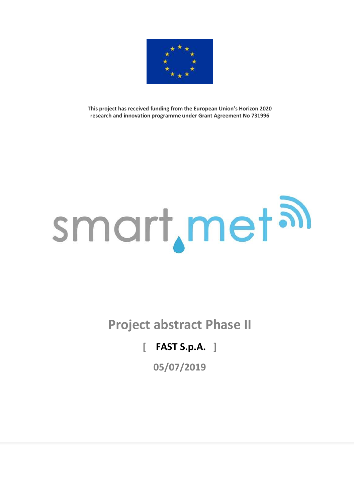

**This project has received funding from the European Union's Horizon 2020 research and innovation programme under Grant Agreement No 731996**

# smart, met al

**Project abstract Phase II**

# **[ FAST S.p.A. ]**

**05/07/2019**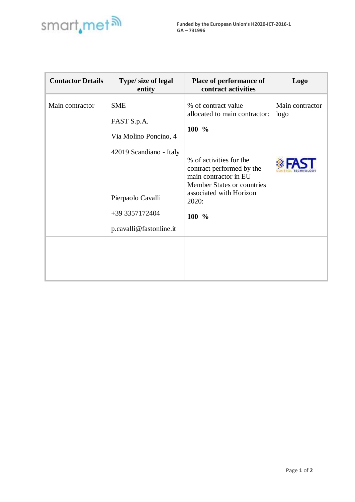

| <b>Contactor Details</b> | Type/ size of legal<br>entity                                                 | Place of performance of<br>contract activities                                                                                                             | <b>Logo</b>             |
|--------------------------|-------------------------------------------------------------------------------|------------------------------------------------------------------------------------------------------------------------------------------------------------|-------------------------|
| Main contractor          | <b>SME</b><br>FAST S.p.A.<br>Via Molino Poncino, 4<br>42019 Scandiano - Italy | % of contract value<br>allocated to main contractor:<br>100 %                                                                                              | Main contractor<br>logo |
|                          | Pierpaolo Cavalli<br>+39 3357172404<br>p.cavalli@fastonline.it                | % of activities for the<br>contract performed by the<br>main contractor in EU<br>Member States or countries<br>associated with Horizon<br>2020:<br>$100\%$ |                         |
|                          |                                                                               |                                                                                                                                                            |                         |
|                          |                                                                               |                                                                                                                                                            |                         |